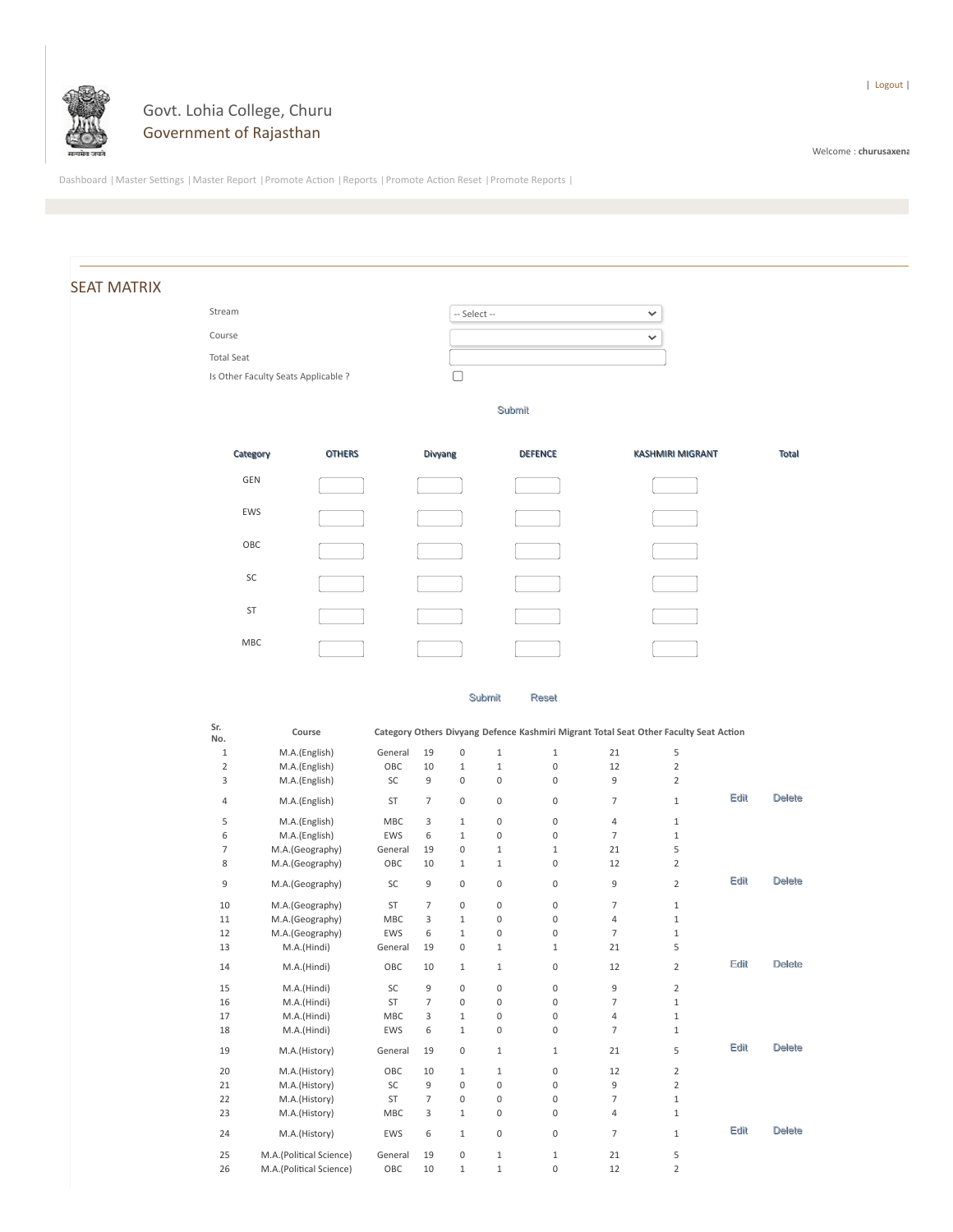

## Govt. Lohia College, Churu Government of Rajasthan

Welcome : **churusaxena**

Dashboard |Master Settings |Master Report |Promote Action |Reports |Promote Action Reset |Promote Reports |

## SEAT MATRIX

Course Total Seat

| Stream                              | $-$ Select $-$ |
|-------------------------------------|----------------|
| Course                              | $\checkmark$   |
| Total Seat                          |                |
| Is Other Faculty Seats Applicable ? |                |

Submit



Submit Reset

| Sr.<br>No.     | Course                  | Category Others Divyang Defence Kashmiri Migrant Total Seat Other Faculty Seat Action |                |                     |             |              |                |                |      |               |
|----------------|-------------------------|---------------------------------------------------------------------------------------|----------------|---------------------|-------------|--------------|----------------|----------------|------|---------------|
| $\mathbf{1}$   | M.A.(English)           | General                                                                               | 19             | $\mathbf 0$         | $\mathbf 1$ | $\mathbf{1}$ | 21             | 5              |      |               |
| $\overline{2}$ | M.A.(English)           | OBC                                                                                   | 10             | $\mathbf{1}$        | $\mathbf 1$ | 0            | 12             | $\overline{2}$ |      |               |
| 3              | M.A.(English)           | SC                                                                                    | 9              | $\mathbf 0$         | 0           | 0            | 9              | $\overline{2}$ |      |               |
| 4              | M.A.(English)           | ST                                                                                    | $\overline{7}$ | $\mathbf 0$         | 0           | 0            | $\overline{7}$ | $\mathbf{1}$   | Edit | <b>Delete</b> |
| 5              | M.A.(English)           | <b>MBC</b>                                                                            | 3              | $\mathbf{1}$        | 0           | 0            | 4              | $\mathbf{1}$   |      |               |
| 6              | M.A.(English)           | <b>EWS</b>                                                                            | 6              | $\mathbf{1}$        | 0           | 0            | $\overline{7}$ | $\mathbf{1}$   |      |               |
| 7              | M.A.(Geography)         | General                                                                               | 19             | $\mathbf 0$         | $\mathbf 1$ | $\mathbf{1}$ | 21             | 5              |      |               |
| 8              | M.A.(Geography)         | OBC                                                                                   | 10             | $\mathbf{1}$        | 1           | 0            | 12             | $\overline{2}$ |      |               |
| 9              | M.A.(Geography)         | SC                                                                                    | 9              | $\mathsf 0$         | 0           | 0            | 9              | $\overline{2}$ | Edit | <b>Delete</b> |
| 10             | M.A.(Geography)         | <b>ST</b>                                                                             | $\overline{7}$ | $\mathbf 0$         | 0           | 0            | $\overline{7}$ | $\mathbf{1}$   |      |               |
| 11             | M.A.(Geography)         | <b>MBC</b>                                                                            | 3              | $\mathbf{1}$        | 0           | 0            | 4              | $\mathbf{1}$   |      |               |
| 12             | M.A.(Geography)         | EWS                                                                                   | 6              | $\mathbf{1}$        | 0           | 0            | $\overline{7}$ | $\mathbf{1}$   |      |               |
| 13             | M.A.(Hindi)             | General                                                                               | 19             | $\mathbf{0}$        | $\mathbf 1$ | $\mathbf{1}$ | 21             | 5              |      |               |
| 14             | M.A.(Hindi)             | OBC                                                                                   | 10             | $\mathbf{1}$        | 1           | 0            | 12             | 2              | Edit | <b>Delete</b> |
| 15             | M.A.(Hindi)             | SC                                                                                    | 9              | $\mathbf{0}$        | 0           | 0            | 9              | $\overline{2}$ |      |               |
| 16             | M.A.(Hindi)             | <b>ST</b>                                                                             | $\overline{7}$ | $\mathbf 0$         | 0           | 0            | $\overline{7}$ | $\mathbf{1}$   |      |               |
| 17             | M.A.(Hindi)             | <b>MBC</b>                                                                            | 3              | $\mathbf{1}$        | 0           | 0            | 4              | $\mathbf{1}$   |      |               |
| 18             | M.A.(Hindi)             | EWS                                                                                   | 6              | $\mathbf{1}$        | 0           | 0            | $\overline{7}$ | $\mathbf{1}$   |      |               |
| 19             | M.A.(History)           | General                                                                               | 19             | $\mathsf 0$         | $\mathbf 1$ | $\mathbf 1$  | 21             | 5              | Edit | <b>Delete</b> |
| 20             | M.A.(History)           | OBC                                                                                   | 10             | $\mathbf{1}$        | 1           | 0            | 12             | $\overline{2}$ |      |               |
| 21             | M.A.(History)           | SC                                                                                    | 9              | $\mathbf 0$         | 0           | 0            | 9              | $\overline{2}$ |      |               |
| 22             | M.A.(History)           | ST                                                                                    | $\overline{7}$ | $\mathbf 0$         | 0           | 0            | $\overline{7}$ | $\mathbf{1}$   |      |               |
| 23             | M.A.(History)           | MBC                                                                                   | 3              | $\mathbf{1}$        | 0           | 0            | 4              | $\mathbf{1}$   |      |               |
| 24             | M.A.(History)           | EWS                                                                                   | 6              | $\mathbf{1}$        | 0           | 0            | $\overline{7}$ | $\mathbf{1}$   | Edit | <b>Delete</b> |
| 25             | M.A.(Political Science) | General                                                                               | 19             | $\mathsf{O}\xspace$ | $\mathbf 1$ | $\mathbf{1}$ | 21             | 5              |      |               |
| 26             | M.A.(Political Science) | OBC                                                                                   | 10             | $\mathbf{1}$        | $\mathbf 1$ | 0            | 12             | $\overline{2}$ |      |               |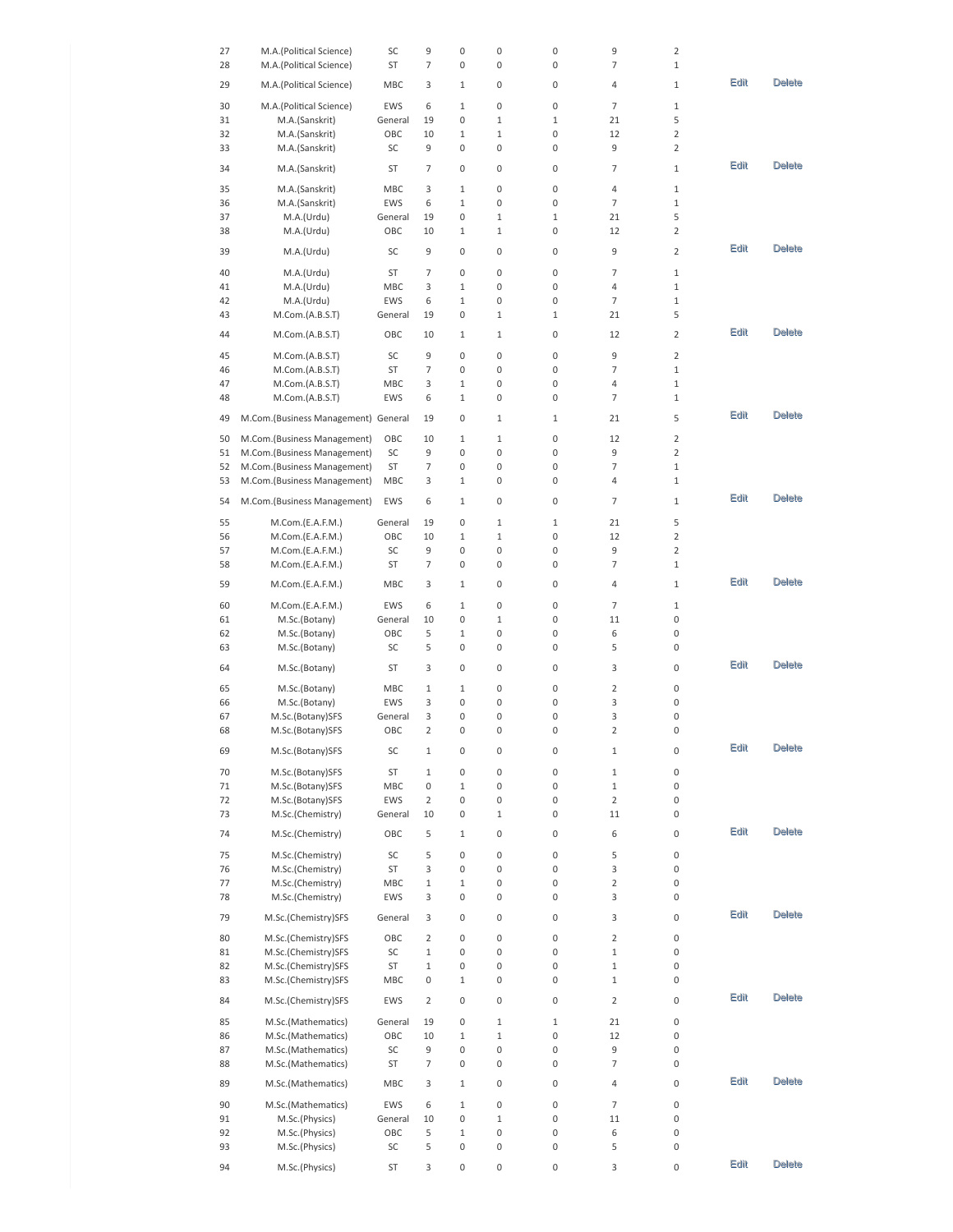| 27       | M.A.(Political Science)             | SC       | 9              | 0            | 0            | 0            | 9              | 2              |      |               |
|----------|-------------------------------------|----------|----------------|--------------|--------------|--------------|----------------|----------------|------|---------------|
| 28       | M.A.(Political Science)             | ST       | 7              | 0            | 0            | 0            | 7              | $1\,$          |      |               |
|          |                                     |          |                |              |              |              |                |                |      |               |
| 29       | M.A.(Political Science)             | MBC      | 3              | 1            | 0            | 0            | 4              | $1\,$          | Edit | <b>Delete</b> |
|          |                                     |          |                |              |              |              |                |                |      |               |
| 30       | M.A.(Political Science)             | EWS      | 6              | 1            | 0            | 0            | 7              | $1\,$          |      |               |
| 31       | M.A.(Sanskrit)                      | General  | 19             | 0            | $\mathbf{1}$ | 1            | 21             | 5              |      |               |
| 32       | M.A.(Sanskrit)                      | OBC      | 10             | 1            | $1\,$        | 0            | 12             | $\overline{2}$ |      |               |
| 33       | M.A.(Sanskrit)                      | SC       | 9              | 0            | 0            | 0            | 9              | 2              |      |               |
| 34       | M.A.(Sanskrit)                      | ST       | 7              | 0            | 0            | 0            | 7              | $1\,$          | Edit | <b>Delete</b> |
|          |                                     |          |                |              |              |              |                |                |      |               |
| 35       | M.A.(Sanskrit)                      | MBC      | 3              | 1            | 0            | 0            | 4              | $1\,$          |      |               |
| 36       | M.A.(Sanskrit)                      | EWS      | 6              | $\mathbf{1}$ | 0            | 0            | 7              | $1\,$          |      |               |
| 37       | M.A.(Urdu)                          | General  | 19             | 0            | $\mathbf{1}$ | 1            | 21             | 5              |      |               |
| 38       | M.A.(Urdu)                          | OBC      | 10             | 1            | $1\,$        | 0            | 12             | $\overline{2}$ |      |               |
|          |                                     |          |                |              |              |              |                |                |      |               |
| 39       | M.A.(Urdu)                          | SC       | 9              | 0            | 0            | 0            | 9              | $\overline{2}$ | Edit | <b>Delete</b> |
|          |                                     |          |                |              |              |              |                |                |      |               |
| 40       | M.A.(Urdu)                          | ST       | 7              | 0            | 0            | 0            | 7              | $1\,$          |      |               |
| 41       | M.A.(Urdu)                          | MBC      | 3              | $\mathbf{1}$ | 0            | 0            | 4              | $1\,$          |      |               |
| 42       | M.A.(Urdu)                          | EWS      | 6              | 1            | 0            | 0            | 7              | $1\,$          |      |               |
| 43       | $M.$ Com. $(A.B.S.T)$               | General  | 19             | 0            | $\mathbf{1}$ | 1            | 21             | 5              |      |               |
| 44       |                                     | OBC      |                |              | $\mathbf{1}$ | 0            | 12             | 2              | Edit | <b>Delete</b> |
|          | M.Com.(A.B.S.T)                     |          | 10             | 1            |              |              |                |                |      |               |
| 45       | M.Com.(A.B.S.T)                     | SC       | 9              | 0            | 0            | 0            | 9              | 2              |      |               |
| 46       | M.Com.(A.B.S.T)                     | ST       | 7              | 0            | 0            | 0            | 7              | $\,1\,$        |      |               |
| 47       | M.Com.(A.B.S.T)                     | MBC      | 3              | 1            | 0            | 0            | 4              | $1\,$          |      |               |
|          |                                     |          | 6              |              | 0            | 0            | 7              | $1\,$          |      |               |
| 48       | M.Com.(A.B.S.T)                     | EWS      |                | 1            |              |              |                |                |      |               |
| 49       | M.Com.(Business Management) General |          | 19             | 0            | 1            | 1            | 21             | 5              | Edit | <b>Delete</b> |
|          |                                     |          |                |              |              |              |                |                |      |               |
| 50       | M.Com.(Business Management)         | OBC      | 10             | 1            | $1\,$        | 0            | 12             | 2              |      |               |
| 51       | M.Com.(Business Management)         | SC       | 9              | 0            | 0            | 0            | 9              | $\overline{2}$ |      |               |
| 52       | M.Com.(Business Management)         | ST       | 7              | 0            | 0            | 0            | 7              | $1\,$          |      |               |
| 53       | M.Com.(Business Management)         | MBC      | 3              | 1            | 0            | 0            | 4              | $1\,$          |      |               |
|          |                                     |          |                |              |              |              |                |                | Edit | <b>Delete</b> |
| 54       | M.Com.(Business Management)         | EWS      | 6              | 1            | 0            | 0            | 7              | $1\,$          |      |               |
| 55       | $M.$ Com. $(E.A.F.M.)$              | General  | 19             | 0            | $\mathbf{1}$ | $\mathbf{1}$ | 21             | 5              |      |               |
| 56       | $M.$ Com. $(E.A.F.M.)$              | OBC      | 10             | 1            | $\mathbf{1}$ | 0            | 12             | $\overline{2}$ |      |               |
|          |                                     |          |                |              |              |              |                |                |      |               |
| 57       | $M.$ Com. $(E.A.F.M.)$              | SC       | 9              | 0            | 0            | 0            | 9              | $\overline{2}$ |      |               |
| 58       | $M.$ Com. $(E.A.F.M.)$              | ST       | 7              | 0            | 0            | 0            | 7              | 1              |      |               |
| 59       | $M.$ Com. $(E.A.F.M.)$              | MBC      | 3              | 1            | 0            | 0            | 4              | $1\,$          | Edit | <b>Delete</b> |
|          |                                     |          |                |              |              |              |                |                |      |               |
| 60       | M.Com.(E.A.F.M.)                    | EWS      | 6              | 1            | 0            | 0            | 7              | $1\,$          |      |               |
| 61       | M.Sc.(Botany)                       | General  | 10             | 0            | $\mathbf{1}$ | 0            | 11             | 0              |      |               |
| 62       | M.Sc.(Botany)                       | OBC      | 5              | 1            | 0            | 0            | 6              | 0              |      |               |
| 63       | M.Sc.(Botany)                       | SC       | 5              | 0            | 0            | 0            | 5              | 0              |      |               |
|          |                                     |          |                |              |              |              |                |                |      |               |
| 64       | M.Sc.(Botany)                       | ST       | 3              | 0            | 0            | 0            | 3              | 0              | Edit | <b>Delete</b> |
| 65       | M.Sc.(Botany)                       | MBC      |                | 1            | 0            | 0            | 2              | 0              |      |               |
|          |                                     |          | 1              |              |              |              |                |                |      |               |
| 66       | M.Sc.(Botany)                       | EWS      | 3              | 0            | 0            | 0            | 3              | 0              |      |               |
| 67       | M.Sc.(Botany)SFS                    | General  | 3              | 0            | 0            | 0            | 3              | 0              |      |               |
| 68       | M.Sc.(Botany)SFS                    | OBC      | 2              | 0            | 0            | 0            | 2              | 0              |      |               |
| 69       | M.Sc.(Botany)SFS                    | SC       | $\mathbf 1$    | 0            | 0            | $\mathsf 0$  | $1\,$          | 0              | Edit | <b>Delete</b> |
|          |                                     |          |                |              |              |              |                |                |      |               |
| 70       | M.Sc.(Botany)SFS                    | ST       | $\mathbf 1$    | 0            | $\mathbf 0$  | 0            | $1\,$          | 0              |      |               |
| 71       | M.Sc.(Botany)SFS                    | MBC      | 0              | $\mathbf{1}$ | $\mathbf 0$  | 0            | $\mathbf{1}$   | 0              |      |               |
| 72       | M.Sc.(Botany)SFS                    | EWS      | $\overline{2}$ | 0            | $\mathsf 0$  | 0            | $\overline{2}$ | 0              |      |               |
| 73       | M.Sc.(Chemistry)                    | General  | 10             | 0            | 1            | 0            | 11             | 0              |      |               |
|          |                                     |          |                |              |              |              |                |                |      |               |
| 74       | M.Sc.(Chemistry)                    | OBC      | 5              | $\mathbf{1}$ | $\mathbf 0$  | $\mathsf 0$  | 6              | 0              | Edit | <b>Delete</b> |
| 75       | M.Sc.(Chemistry)                    | SC       | 5              | 0            | $\mathsf 0$  | $\mathsf 0$  | 5              | 0              |      |               |
|          | M.Sc.(Chemistry)                    | ST       | 3              |              | $\mathsf 0$  | 0            | 3              | 0              |      |               |
| 76       |                                     |          |                | 0            |              |              |                |                |      |               |
| 77       | M.Sc.(Chemistry)                    | MBC      | $\mathbf 1$    | $\mathbf{1}$ | $\mathsf 0$  | 0            | $\overline{2}$ | 0              |      |               |
| 78       | M.Sc.(Chemistry)                    | EWS      | 3              | 0            | 0            | 0            | 3              | 0              |      |               |
| 79       | M.Sc.(Chemistry)SFS                 | General  | 3              | 0            | 0            | 0            | 3              | 0              | Edit | <b>Delete</b> |
|          |                                     |          |                |              |              |              |                |                |      |               |
| 80       | M.Sc.(Chemistry)SFS                 |          | 2              | 0            | 0            | $\mathbf 0$  | $\overline{2}$ | 0              |      |               |
|          |                                     | OBC      |                |              |              |              |                |                |      |               |
| 81       | M.Sc.(Chemistry)SFS                 | SC       | $\mathbf 1$    | 0            | 0            | 0            | $\mathbf{1}$   | 0              |      |               |
|          |                                     |          |                |              |              |              |                |                |      |               |
| 82       | M.Sc.(Chemistry)SFS                 | ST       | $\mathbf 1$    | 0            | 0            | 0            | $1\,$          | 0              |      |               |
| 83       | M.Sc.(Chemistry)SFS                 | MBC      | 0              | $\mathbf{1}$ | 0            | 0            | $\mathbf{1}$   | 0              |      |               |
| 84       | M.Sc.(Chemistry)SFS                 | EWS      | $\overline{2}$ | 0            | $\mathbf 0$  | 0            | $\overline{2}$ | 0              | Edit | <b>Delete</b> |
|          |                                     |          |                |              |              |              |                |                |      |               |
| 85       | M.Sc.(Mathematics)                  | General  | 19             | 0            | $\mathbf{1}$ | $1\,$        | 21             | 0              |      |               |
| 86       | M.Sc.(Mathematics)                  | OBC      | 10             | $\mathbf{1}$ | $1\,$        | 0            | 12             | 0              |      |               |
| 87       | M.Sc.(Mathematics)                  | SC       | 9              | 0            | $\mathbf 0$  | 0            | 9              | 0              |      |               |
| 88       | M.Sc.(Mathematics)                  | ST       | 7              | 0            | 0            | 0            | 7              | 0              |      |               |
|          |                                     |          |                |              |              |              |                |                | Edit | <b>Delete</b> |
| 89       | M.Sc.(Mathematics)                  | MBC      | 3              | $\mathbf{1}$ | 0            | 0            | 4              | 0              |      |               |
| 90       | M.Sc.(Mathematics)                  | EWS      | 6              | $\mathbf{1}$ | $\mathsf 0$  | $\mathsf 0$  | $\overline{7}$ | 0              |      |               |
| 91       | M.Sc.(Physics)                      | General  | 10             | 0            | $1\,$        | 0            | $11\,$         | 0              |      |               |
| 92       | M.Sc.(Physics)                      | OBC      | 5              | $\mathbf{1}$ | 0            | 0            | 6              | 0              |      |               |
|          |                                     |          |                |              |              |              |                |                |      |               |
| 93<br>94 | M.Sc.(Physics)<br>M.Sc.(Physics)    | SC<br>ST | 5<br>3         | 0<br>0       | 0<br>0       | 0<br>0       | 5<br>3         | 0<br>0         | Edit | <b>Delete</b> |